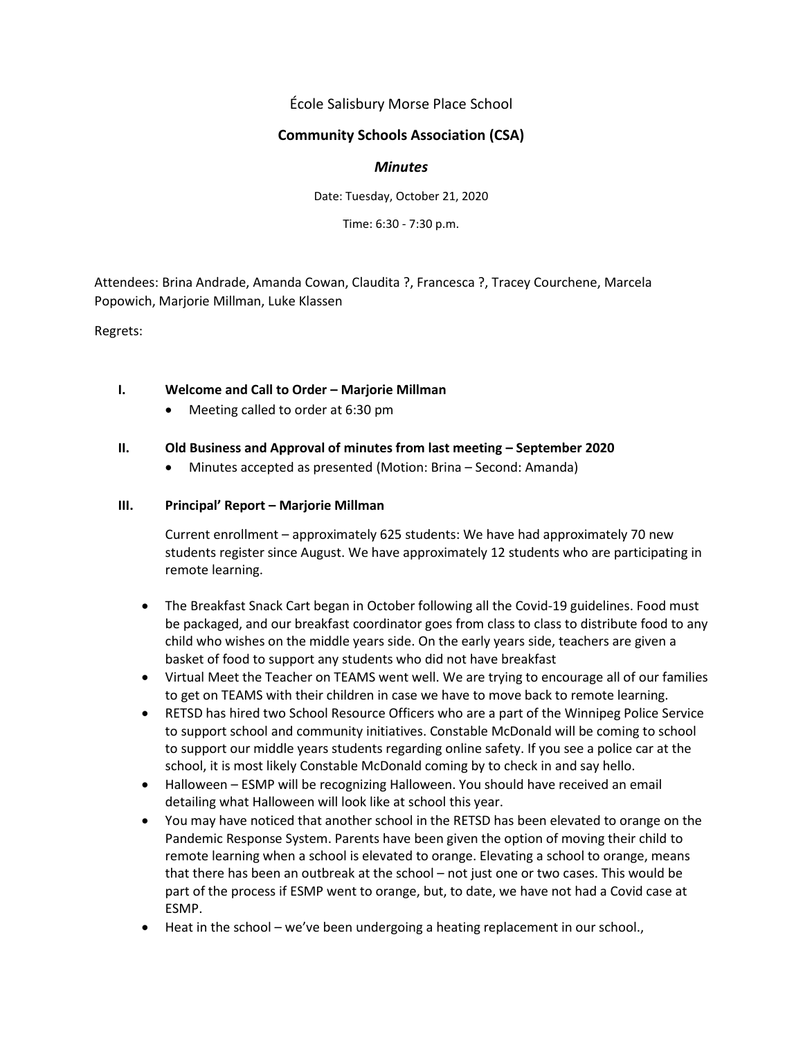École Salisbury Morse Place School

# **Community Schools Association (CSA)**

### *Minutes*

Date: Tuesday, October 21, 2020

Time: 6:30 - 7:30 p.m.

Attendees: Brina Andrade, Amanda Cowan, Claudita ?, Francesca ?, Tracey Courchene, Marcela Popowich, Marjorie Millman, Luke Klassen

Regrets:

### **I. Welcome and Call to Order – Marjorie Millman**

• Meeting called to order at 6:30 pm

### **II.** Old Business and Approval of minutes from last meeting – September 2020

• Minutes accepted as presented (Motion: Brina – Second: Amanda)

### **III. Principal' Report – Marjorie Millman**

Current enrollment – approximately 625 students: We have had approximately 70 new students register since August. We have approximately 12 students who are participating in remote learning.

- The Breakfast Snack Cart began in October following all the Covid-19 guidelines. Food must be packaged, and our breakfast coordinator goes from class to class to distribute food to any child who wishes on the middle years side. On the early years side, teachers are given a basket of food to support any students who did not have breakfast
- Virtual Meet the Teacher on TEAMS went well. We are trying to encourage all of our families to get on TEAMS with their children in case we have to move back to remote learning.
- RETSD has hired two School Resource Officers who are a part of the Winnipeg Police Service to support school and community initiatives. Constable McDonald will be coming to school to support our middle years students regarding online safety. If you see a police car at the school, it is most likely Constable McDonald coming by to check in and say hello.
- Halloween ESMP will be recognizing Halloween. You should have received an email detailing what Halloween will look like at school this year.
- You may have noticed that another school in the RETSD has been elevated to orange on the Pandemic Response System. Parents have been given the option of moving their child to remote learning when a school is elevated to orange. Elevating a school to orange, means that there has been an outbreak at the school – not just one or two cases. This would be part of the process if ESMP went to orange, but, to date, we have not had a Covid case at ESMP.
- Heat in the school we've been undergoing a heating replacement in our school.,